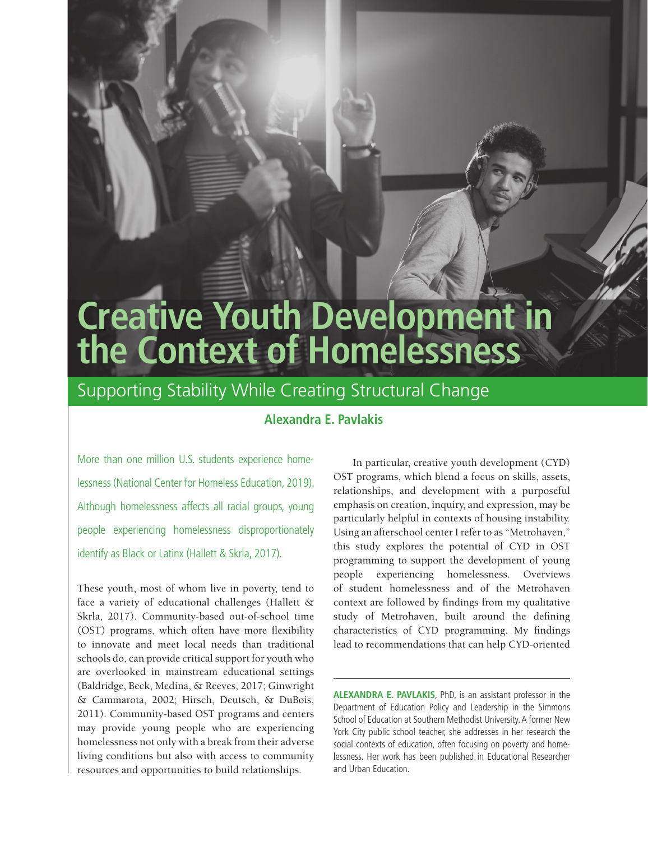# **Creative Youth Development in the Context of Homelessness**

# Supporting Stability While Creating Structural Change

# **Alexandra E. Pavlakis**

More than one million U.S. students experience homelessness (National Center for Homeless Education, 2019). Although homelessness affects all racial groups, young people experiencing homelessness disproportionately identify as Black or Latinx (Hallett & Skrla, 2017).

These youth, most of whom live in poverty, tend to face a variety of educational challenges (Hallett & Skrla, 2017). Community-based out-of-school time (OST) programs, which often have more flexibility to innovate and meet local needs than traditional schools do, can provide critical support for youth who are overlooked in mainstream educational settings (Baldridge, Beck, Medina, & Reeves, 2017; Ginwright & Cammarota, 2002; Hirsch, Deutsch, & DuBois, 2011). Community-based OST programs and centers may provide young people who are experiencing homelessness not only with a break from their adverse living conditions but also with access to community resources and opportunities to build relationships.

In particular, creative youth development (CYD) OST programs, which blend a focus on skills, assets, relationships, and development with a purposeful emphasis on creation, inquiry, and expression, may be particularly helpful in contexts of housing instability. Using an afterschool center I refer to as "Metrohaven," this study explores the potential of CYD in OST programming to support the development of young people experiencing homelessness. Overviews of student homelessness and of the Metrohaven context are followed by findings from my qualitative study of Metrohaven, built around the defining characteristics of CYD programming. My findings lead to recommendations that can help CYD-oriented

**ALEXANDRA E. PAVLAKIS**, PhD, is an assistant professor in the Department of Education Policy and Leadership in the Simmons School of Education at Southern Methodist University. A former New York City public school teacher, she addresses in her research the social contexts of education, often focusing on poverty and homelessness. Her work has been published in Educational Researcher and Urban Education.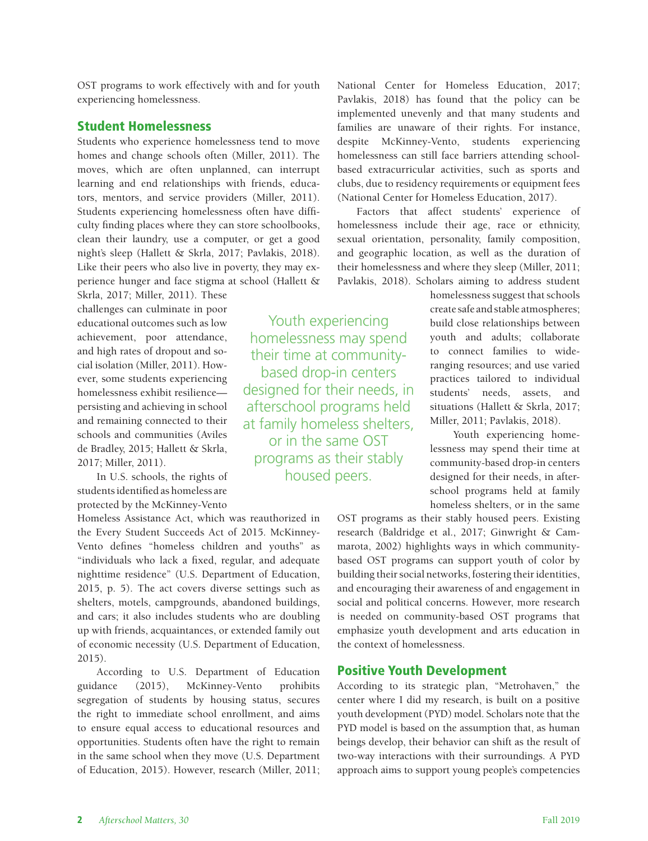OST programs to work effectively with and for youth experiencing homelessness.

#### Student Homelessness

Students who experience homelessness tend to move homes and change schools often (Miller, 2011). The moves, which are often unplanned, can interrupt learning and end relationships with friends, educators, mentors, and service providers (Miller, 2011). Students experiencing homelessness often have difficulty finding places where they can store schoolbooks, clean their laundry, use a computer, or get a good night's sleep (Hallett & Skrla, 2017; Pavlakis, 2018). Like their peers who also live in poverty, they may experience hunger and face stigma at school (Hallett &

Skrla, 2017; Miller, 2011). These challenges can culminate in poor educational outcomes such as low achievement, poor attendance, and high rates of dropout and social isolation (Miller, 2011). However, some students experiencing homelessness exhibit resilience persisting and achieving in school and remaining connected to their schools and communities (Aviles de Bradley, 2015; Hallett & Skrla, 2017; Miller, 2011).

In U.S. schools, the rights of students identified as homeless are protected by the McKinney-Vento

Homeless Assistance Act, which was reauthorized in the Every Student Succeeds Act of 2015. McKinney-Vento defines "homeless children and youths" as "individuals who lack a fixed, regular, and adequate nighttime residence" (U.S. Department of Education, 2015, p. 5). The act covers diverse settings such as shelters, motels, campgrounds, abandoned buildings, and cars; it also includes students who are doubling up with friends, acquaintances, or extended family out of economic necessity (U.S. Department of Education, 2015).

According to U.S. Department of Education guidance (2015), McKinney-Vento prohibits segregation of students by housing status, secures the right to immediate school enrollment, and aims to ensure equal access to educational resources and opportunities. Students often have the right to remain in the same school when they move (U.S. Department of Education, 2015). However, research (Miller, 2011;

Youth experiencing homelessness may spend their time at communitybased drop-in centers designed for their needs, in afterschool programs held at family homeless shelters, or in the same OST programs as their stably housed peers.

National Center for Homeless Education, 2017; Pavlakis, 2018) has found that the policy can be implemented unevenly and that many students and families are unaware of their rights. For instance, despite McKinney-Vento, students experiencing homelessness can still face barriers attending schoolbased extracurricular activities, such as sports and clubs, due to residency requirements or equipment fees (National Center for Homeless Education, 2017).

Factors that affect students' experience of homelessness include their age, race or ethnicity, sexual orientation, personality, family composition, and geographic location, as well as the duration of their homelessness and where they sleep (Miller, 2011; Pavlakis, 2018). Scholars aiming to address student

> homelessness suggest that schools create safe and stable atmospheres; build close relationships between youth and adults; collaborate to connect families to wideranging resources; and use varied practices tailored to individual students' needs, assets, and situations (Hallett & Skrla, 2017; Miller, 2011; Pavlakis, 2018).

> Youth experiencing homelessness may spend their time at community-based drop-in centers designed for their needs, in afterschool programs held at family homeless shelters, or in the same

OST programs as their stably housed peers. Existing research (Baldridge et al., 2017; Ginwright & Cammarota, 2002) highlights ways in which communitybased OST programs can support youth of color by building their social networks, fostering their identities, and encouraging their awareness of and engagement in social and political concerns. However, more research is needed on community-based OST programs that emphasize youth development and arts education in the context of homelessness.

#### Positive Youth Development

According to its strategic plan, "Metrohaven," the center where I did my research, is built on a positive youth development (PYD) model. Scholars note that the PYD model is based on the assumption that, as human beings develop, their behavior can shift as the result of two-way interactions with their surroundings. A PYD approach aims to support young people's competencies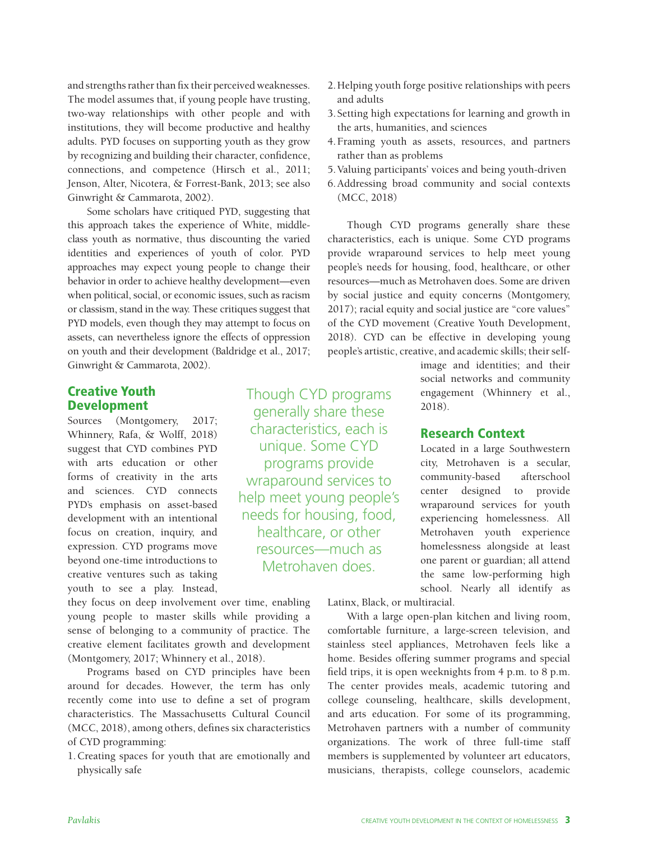and strengths rather than fix their perceived weaknesses. The model assumes that, if young people have trusting, two-way relationships with other people and with institutions, they will become productive and healthy adults. PYD focuses on supporting youth as they grow by recognizing and building their character, confidence, connections, and competence (Hirsch et al., 2011; Jenson, Alter, Nicotera, & Forrest-Bank, 2013; see also Ginwright & Cammarota, 2002).

Some scholars have critiqued PYD, suggesting that this approach takes the experience of White, middleclass youth as normative, thus discounting the varied identities and experiences of youth of color. PYD approaches may expect young people to change their behavior in order to achieve healthy development—even when political, social, or economic issues, such as racism or classism, stand in the way. These critiques suggest that PYD models, even though they may attempt to focus on assets, can nevertheless ignore the effects of oppression on youth and their development (Baldridge et al., 2017; Ginwright & Cammarota, 2002).

# Creative Youth Development

Sources (Montgomery, 2017; Whinnery, Rafa, & Wolff, 2018) suggest that CYD combines PYD with arts education or other forms of creativity in the arts and sciences. CYD connects PYD's emphasis on asset-based development with an intentional focus on creation, inquiry, and expression. CYD programs move beyond one-time introductions to creative ventures such as taking youth to see a play. Instead,

they focus on deep involvement over time, enabling young people to master skills while providing a sense of belonging to a community of practice. The creative element facilitates growth and development (Montgomery, 2017; Whinnery et al., 2018).

Programs based on CYD principles have been around for decades. However, the term has only recently come into use to define a set of program characteristics. The Massachusetts Cultural Council (MCC, 2018), among others, defines six characteristics of CYD programming:

1.Creating spaces for youth that are emotionally and physically safe

Though CYD programs generally share these characteristics, each is unique. Some CYD programs provide wraparound services to help meet young people's needs for housing, food, healthcare, or other resources—much as Metrohaven does.

- 2.Helping youth forge positive relationships with peers and adults
- 3. Setting high expectations for learning and growth in the arts, humanities, and sciences
- 4.Framing youth as assets, resources, and partners rather than as problems
- 5.Valuing participants' voices and being youth-driven
- 6.Addressing broad community and social contexts (MCC, 2018)

Though CYD programs generally share these characteristics, each is unique. Some CYD programs provide wraparound services to help meet young people's needs for housing, food, healthcare, or other resources—much as Metrohaven does. Some are driven by social justice and equity concerns (Montgomery, 2017); racial equity and social justice are "core values" of the CYD movement (Creative Youth Development, 2018). CYD can be effective in developing young people's artistic, creative, and academic skills; their self-

> image and identities; and their social networks and community engagement (Whinnery et al., 2018).

#### Research Context

Located in a large Southwestern city, Metrohaven is a secular, community-based afterschool center designed to provide wraparound services for youth experiencing homelessness. All Metrohaven youth experience homelessness alongside at least one parent or guardian; all attend the same low-performing high school. Nearly all identify as

Latinx, Black, or multiracial.

With a large open-plan kitchen and living room, comfortable furniture, a large-screen television, and stainless steel appliances, Metrohaven feels like a home. Besides offering summer programs and special field trips, it is open weeknights from 4 p.m. to 8 p.m. The center provides meals, academic tutoring and college counseling, healthcare, skills development, and arts education. For some of its programming, Metrohaven partners with a number of community organizations. The work of three full-time staff members is supplemented by volunteer art educators, musicians, therapists, college counselors, academic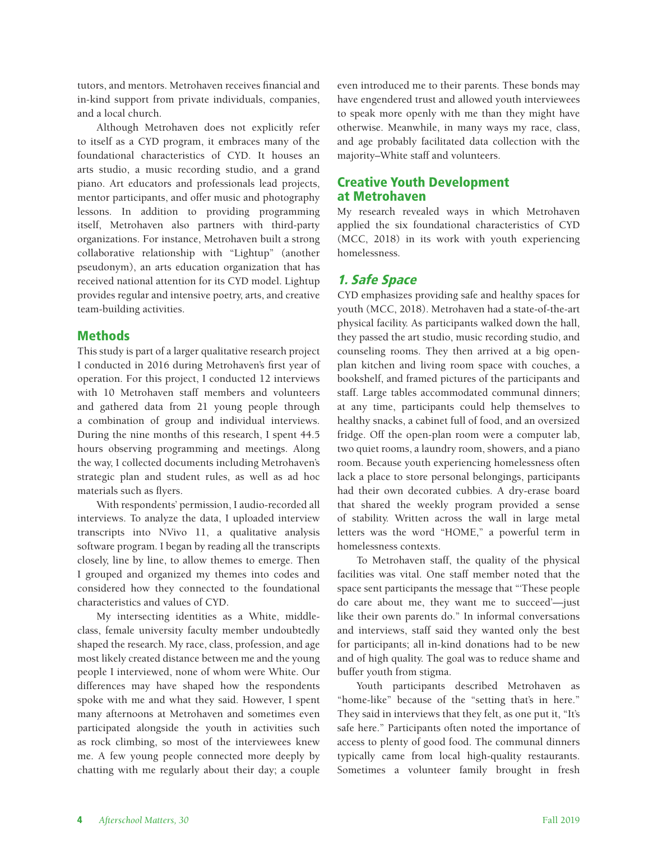tutors, and mentors. Metrohaven receives financial and in-kind support from private individuals, companies, and a local church.

Although Metrohaven does not explicitly refer to itself as a CYD program, it embraces many of the foundational characteristics of CYD. It houses an arts studio, a music recording studio, and a grand piano. Art educators and professionals lead projects, mentor participants, and offer music and photography lessons. In addition to providing programming itself, Metrohaven also partners with third-party organizations. For instance, Metrohaven built a strong collaborative relationship with "Lightup" (another pseudonym), an arts education organization that has received national attention for its CYD model. Lightup provides regular and intensive poetry, arts, and creative team-building activities.

## Methods

This study is part of a larger qualitative research project I conducted in 2016 during Metrohaven's first year of operation. For this project, I conducted 12 interviews with 10 Metrohaven staff members and volunteers and gathered data from 21 young people through a combination of group and individual interviews. During the nine months of this research, I spent 44.5 hours observing programming and meetings. Along the way, I collected documents including Metrohaven's strategic plan and student rules, as well as ad hoc materials such as flyers.

With respondents' permission, I audio-recorded all interviews. To analyze the data, I uploaded interview transcripts into NVivo 11, a qualitative analysis software program. I began by reading all the transcripts closely, line by line, to allow themes to emerge. Then I grouped and organized my themes into codes and considered how they connected to the foundational characteristics and values of CYD.

My intersecting identities as a White, middleclass, female university faculty member undoubtedly shaped the research. My race, class, profession, and age most likely created distance between me and the young people I interviewed, none of whom were White. Our differences may have shaped how the respondents spoke with me and what they said. However, I spent many afternoons at Metrohaven and sometimes even participated alongside the youth in activities such as rock climbing, so most of the interviewees knew me. A few young people connected more deeply by chatting with me regularly about their day; a couple

even introduced me to their parents. These bonds may have engendered trust and allowed youth interviewees to speak more openly with me than they might have otherwise. Meanwhile, in many ways my race, class, and age probably facilitated data collection with the majority–White staff and volunteers.

# Creative Youth Development at Metrohaven

My research revealed ways in which Metrohaven applied the six foundational characteristics of CYD (MCC, 2018) in its work with youth experiencing homelessness.

# 1. Safe Space

CYD emphasizes providing safe and healthy spaces for youth (MCC, 2018). Metrohaven had a state-of-the-art physical facility. As participants walked down the hall, they passed the art studio, music recording studio, and counseling rooms. They then arrived at a big openplan kitchen and living room space with couches, a bookshelf, and framed pictures of the participants and staff. Large tables accommodated communal dinners; at any time, participants could help themselves to healthy snacks, a cabinet full of food, and an oversized fridge. Off the open-plan room were a computer lab, two quiet rooms, a laundry room, showers, and a piano room. Because youth experiencing homelessness often lack a place to store personal belongings, participants had their own decorated cubbies. A dry-erase board that shared the weekly program provided a sense of stability. Written across the wall in large metal letters was the word "HOME," a powerful term in homelessness contexts.

To Metrohaven staff, the quality of the physical facilities was vital. One staff member noted that the space sent participants the message that "'These people do care about me, they want me to succeed'—just like their own parents do." In informal conversations and interviews, staff said they wanted only the best for participants; all in-kind donations had to be new and of high quality. The goal was to reduce shame and buffer youth from stigma.

Youth participants described Metrohaven as "home-like" because of the "setting that's in here." They said in interviews that they felt, as one put it, "It's safe here." Participants often noted the importance of access to plenty of good food. The communal dinners typically came from local high-quality restaurants. Sometimes a volunteer family brought in fresh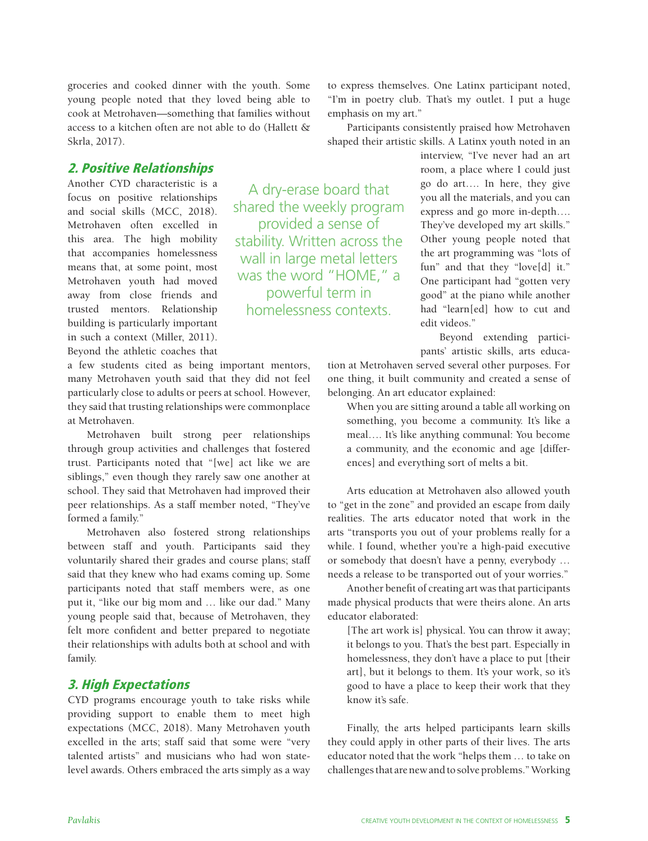groceries and cooked dinner with the youth. Some young people noted that they loved being able to cook at Metrohaven—something that families without access to a kitchen often are not able to do (Hallett & Skrla, 2017).

# 2. Positive Relationships

Another CYD characteristic is a focus on positive relationships and social skills (MCC, 2018). Metrohaven often excelled in this area. The high mobility that accompanies homelessness means that, at some point, most Metrohaven youth had moved away from close friends and trusted mentors. Relationship building is particularly important in such a context (Miller, 2011). Beyond the athletic coaches that

a few students cited as being important mentors, many Metrohaven youth said that they did not feel particularly close to adults or peers at school. However, they said that trusting relationships were commonplace at Metrohaven.

Metrohaven built strong peer relationships through group activities and challenges that fostered trust. Participants noted that "[we] act like we are siblings," even though they rarely saw one another at school. They said that Metrohaven had improved their peer relationships. As a staff member noted, "They've formed a family."

Metrohaven also fostered strong relationships between staff and youth. Participants said they voluntarily shared their grades and course plans; staff said that they knew who had exams coming up. Some participants noted that staff members were, as one put it, "like our big mom and … like our dad." Many young people said that, because of Metrohaven, they felt more confident and better prepared to negotiate their relationships with adults both at school and with family.

# 3. High Expectations

CYD programs encourage youth to take risks while providing support to enable them to meet high expectations (MCC, 2018). Many Metrohaven youth excelled in the arts; staff said that some were "very talented artists" and musicians who had won statelevel awards. Others embraced the arts simply as a way

to express themselves. One Latinx participant noted, "I'm in poetry club. That's my outlet. I put a huge emphasis on my art."

Participants consistently praised how Metrohaven shaped their artistic skills. A Latinx youth noted in an

A dry-erase board that shared the weekly program provided a sense of stability. Written across the wall in large metal letters was the word "HOME," a powerful term in homelessness contexts.

interview, "I've never had an art room, a place where I could just go do art…. In here, they give you all the materials, and you can express and go more in-depth…. They've developed my art skills." Other young people noted that the art programming was "lots of fun" and that they "love[d] it." One participant had "gotten very good" at the piano while another had "learn[ed] how to cut and edit videos."

Beyond extending participants' artistic skills, arts educa-

tion at Metrohaven served several other purposes. For one thing, it built community and created a sense of belonging. An art educator explained:

When you are sitting around a table all working on something, you become a community. It's like a meal…. It's like anything communal: You become a community, and the economic and age [differences] and everything sort of melts a bit.

Arts education at Metrohaven also allowed youth to "get in the zone" and provided an escape from daily realities. The arts educator noted that work in the arts "transports you out of your problems really for a while. I found, whether you're a high-paid executive or somebody that doesn't have a penny, everybody … needs a release to be transported out of your worries."

Another benefit of creating art was that participants made physical products that were theirs alone. An arts educator elaborated:

[The art work is] physical. You can throw it away; it belongs to you. That's the best part. Especially in homelessness, they don't have a place to put [their art], but it belongs to them. It's your work, so it's good to have a place to keep their work that they know it's safe.

Finally, the arts helped participants learn skills they could apply in other parts of their lives. The arts educator noted that the work "helps them … to take on challenges that are new and to solve problems." Working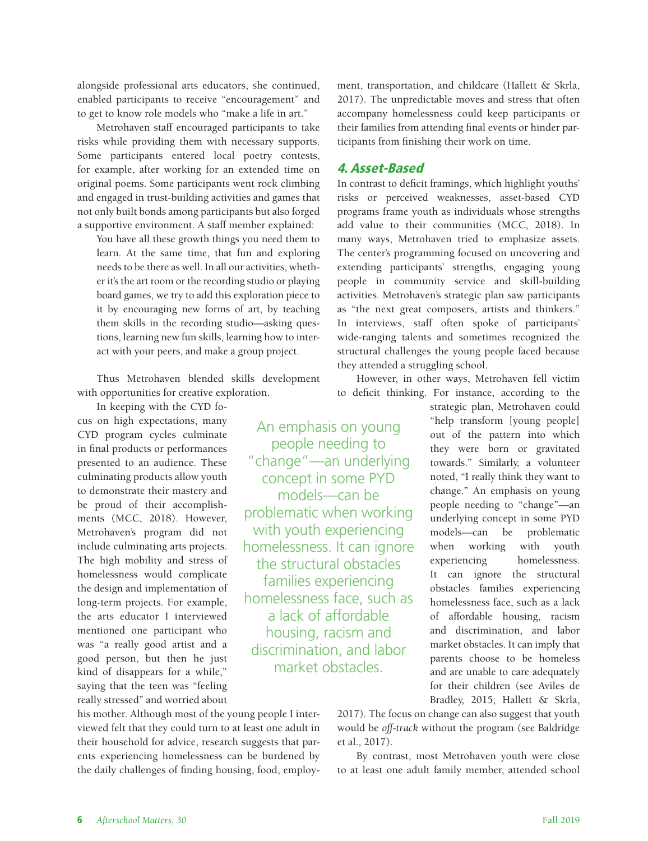alongside professional arts educators, she continued, enabled participants to receive "encouragement" and to get to know role models who "make a life in art."

Metrohaven staff encouraged participants to take risks while providing them with necessary supports. Some participants entered local poetry contests, for example, after working for an extended time on original poems. Some participants went rock climbing and engaged in trust-building activities and games that not only built bonds among participants but also forged a supportive environment. A staff member explained:

You have all these growth things you need them to learn. At the same time, that fun and exploring needs to be there as well. In all our activities, whether it's the art room or the recording studio or playing board games, we try to add this exploration piece to it by encouraging new forms of art, by teaching them skills in the recording studio—asking questions, learning new fun skills, learning how to interact with your peers, and make a group project.

Thus Metrohaven blended skills development with opportunities for creative exploration.

In keeping with the CYD focus on high expectations, many CYD program cycles culminate in final products or performances presented to an audience. These culminating products allow youth to demonstrate their mastery and be proud of their accomplishments (MCC, 2018). However, Metrohaven's program did not include culminating arts projects. The high mobility and stress of homelessness would complicate the design and implementation of long-term projects. For example, the arts educator I interviewed mentioned one participant who was "a really good artist and a good person, but then he just kind of disappears for a while," saying that the teen was "feeling really stressed" and worried about

An emphasis on young people needing to "change"—an underlying concept in some PYD models—can be problematic when working with youth experiencing homelessness. It can ignore the structural obstacles families experiencing homelessness face, such as a lack of affordable housing, racism and discrimination, and labor market obstacles.

ment, transportation, and childcare (Hallett & Skrla, 2017). The unpredictable moves and stress that often accompany homelessness could keep participants or their families from attending final events or hinder participants from finishing their work on time.

# 4. Asset-Based

In contrast to deficit framings, which highlight youths' risks or perceived weaknesses, asset-based CYD programs frame youth as individuals whose strengths add value to their communities (MCC, 2018). In many ways, Metrohaven tried to emphasize assets. The center's programming focused on uncovering and extending participants' strengths, engaging young people in community service and skill-building activities. Metrohaven's strategic plan saw participants as "the next great composers, artists and thinkers." In interviews, staff often spoke of participants' wide-ranging talents and sometimes recognized the structural challenges the young people faced because they attended a struggling school.

However, in other ways, Metrohaven fell victim to deficit thinking. For instance, according to the

> strategic plan, Metrohaven could "help transform [young people] out of the pattern into which they were born or gravitated towards." Similarly, a volunteer noted, "I really think they want to change." An emphasis on young people needing to "change"—an underlying concept in some PYD models—can be problematic when working with youth experiencing homelessness. It can ignore the structural obstacles families experiencing homelessness face, such as a lack of affordable housing, racism and discrimination, and labor market obstacles. It can imply that parents choose to be homeless and are unable to care adequately for their children (see Aviles de Bradley, 2015; Hallett & Skrla,

his mother. Although most of the young people I interviewed felt that they could turn to at least one adult in their household for advice, research suggests that parents experiencing homelessness can be burdened by the daily challenges of finding housing, food, employ2017). The focus on change can also suggest that youth would be *off-track* without the program (see Baldridge et al., 2017).

By contrast, most Metrohaven youth were close to at least one adult family member, attended school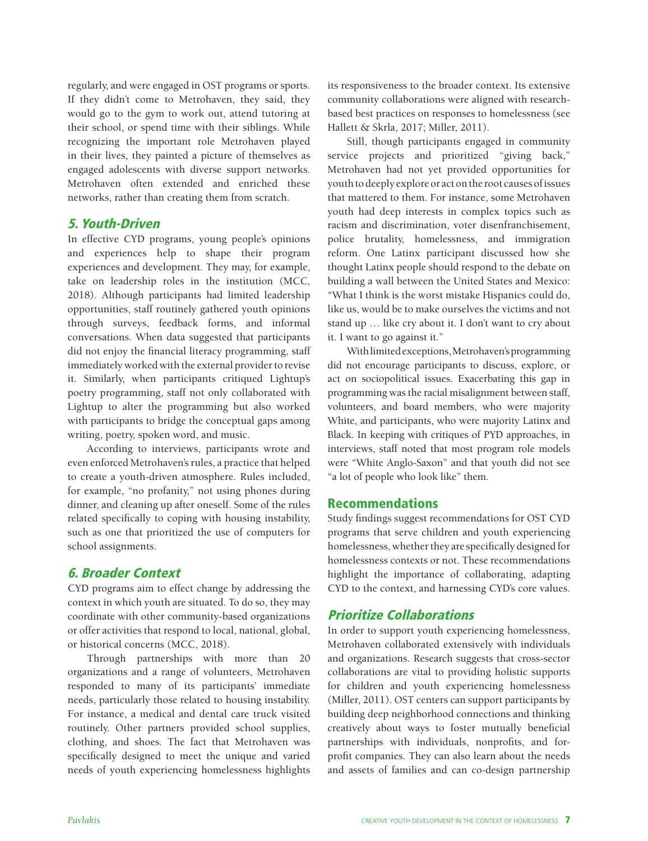regularly, and were engaged in OST programs or sports. If they didn't come to Metrohaven, they said, they would go to the gym to work out, attend tutoring at their school, or spend time with their siblings. While recognizing the important role Metrohaven played in their lives, they painted a picture of themselves as engaged adolescents with diverse support networks. Metrohaven often extended and enriched these networks, rather than creating them from scratch.

#### 5. Youth-Driven

In effective CYD programs, young people's opinions and experiences help to shape their program experiences and development. They may, for example, take on leadership roles in the institution (MCC, 2018). Although participants had limited leadership opportunities, staff routinely gathered youth opinions through surveys, feedback forms, and informal conversations. When data suggested that participants did not enjoy the financial literacy programming, staff immediately worked with the external provider to revise it. Similarly, when participants critiqued Lightup's poetry programming, staff not only collaborated with Lightup to alter the programming but also worked with participants to bridge the conceptual gaps among writing, poetry, spoken word, and music.

According to interviews, participants wrote and even enforced Metrohaven's rules, a practice that helped to create a youth-driven atmosphere. Rules included, for example, "no profanity," not using phones during dinner, and cleaning up after oneself. Some of the rules related specifically to coping with housing instability, such as one that prioritized the use of computers for school assignments.

# 6. Broader Context

CYD programs aim to effect change by addressing the context in which youth are situated. To do so, they may coordinate with other community-based organizations or offer activities that respond to local, national, global, or historical concerns (MCC, 2018).

Through partnerships with more than 20 organizations and a range of volunteers, Metrohaven responded to many of its participants' immediate needs, particularly those related to housing instability. For instance, a medical and dental care truck visited routinely. Other partners provided school supplies, clothing, and shoes. The fact that Metrohaven was specifically designed to meet the unique and varied needs of youth experiencing homelessness highlights

its responsiveness to the broader context. Its extensive community collaborations were aligned with researchbased best practices on responses to homelessness (see Hallett & Skrla, 2017; Miller, 2011).

Still, though participants engaged in community service projects and prioritized "giving back," Metrohaven had not yet provided opportunities for youth to deeply explore or act on the root causes of issues that mattered to them. For instance, some Metrohaven youth had deep interests in complex topics such as racism and discrimination, voter disenfranchisement, police brutality, homelessness, and immigration reform. One Latinx participant discussed how she thought Latinx people should respond to the debate on building a wall between the United States and Mexico: "What I think is the worst mistake Hispanics could do, like us, would be to make ourselves the victims and not stand up … like cry about it. I don't want to cry about it. I want to go against it."

With limited exceptions, Metrohaven's programming did not encourage participants to discuss, explore, or act on sociopolitical issues. Exacerbating this gap in programming was the racial misalignment between staff, volunteers, and board members, who were majority White, and participants, who were majority Latinx and Black. In keeping with critiques of PYD approaches, in interviews, staff noted that most program role models were "White Anglo-Saxon" and that youth did not see "a lot of people who look like" them.

# Recommendations

Study findings suggest recommendations for OST CYD programs that serve children and youth experiencing homelessness, whether they are specifically designed for homelessness contexts or not. These recommendations highlight the importance of collaborating, adapting CYD to the context, and harnessing CYD's core values.

# Prioritize Collaborations

In order to support youth experiencing homelessness, Metrohaven collaborated extensively with individuals and organizations. Research suggests that cross-sector collaborations are vital to providing holistic supports for children and youth experiencing homelessness (Miller, 2011). OST centers can support participants by building deep neighborhood connections and thinking creatively about ways to foster mutually beneficial partnerships with individuals, nonprofits, and forprofit companies. They can also learn about the needs and assets of families and can co-design partnership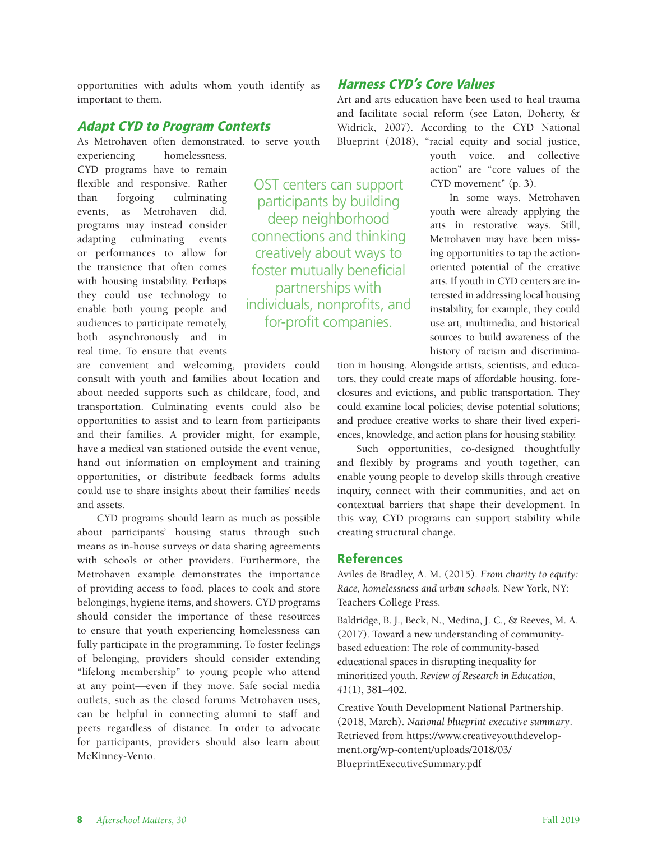opportunities with adults whom youth identify as important to them.

## Adapt CYD to Program Contexts

As Metrohaven often demonstrated, to serve youth

experiencing homelessness, CYD programs have to remain flexible and responsive. Rather than forgoing culminating events, as Metrohaven did, programs may instead consider adapting culminating events or performances to allow for the transience that often comes with housing instability. Perhaps they could use technology to enable both young people and audiences to participate remotely, both asynchronously and in real time. To ensure that events

OST centers can support participants by building deep neighborhood connections and thinking creatively about ways to foster mutually beneficial partnerships with individuals, nonprofits, and for-profit companies.

are convenient and welcoming, providers could consult with youth and families about location and about needed supports such as childcare, food, and transportation. Culminating events could also be opportunities to assist and to learn from participants and their families. A provider might, for example, have a medical van stationed outside the event venue, hand out information on employment and training opportunities, or distribute feedback forms adults could use to share insights about their families' needs and assets.

CYD programs should learn as much as possible about participants' housing status through such means as in-house surveys or data sharing agreements with schools or other providers. Furthermore, the Metrohaven example demonstrates the importance of providing access to food, places to cook and store belongings, hygiene items, and showers. CYD programs should consider the importance of these resources to ensure that youth experiencing homelessness can fully participate in the programming. To foster feelings of belonging, providers should consider extending "lifelong membership" to young people who attend at any point—even if they move. Safe social media outlets, such as the closed forums Metrohaven uses, can be helpful in connecting alumni to staff and peers regardless of distance. In order to advocate for participants, providers should also learn about McKinney-Vento.

# Harness CYD's Core Values

Art and arts education have been used to heal trauma and facilitate social reform (see Eaton, Doherty, & Widrick, 2007). According to the CYD National Blueprint (2018), "racial equity and social justice,

youth voice, and collective action" are "core values of the CYD movement" (p. 3). In some ways, Metrohaven

youth were already applying the arts in restorative ways. Still, Metrohaven may have been missing opportunities to tap the actionoriented potential of the creative arts. If youth in CYD centers are interested in addressing local housing instability, for example, they could use art, multimedia, and historical sources to build awareness of the history of racism and discrimina-

tion in housing. Alongside artists, scientists, and educators, they could create maps of affordable housing, foreclosures and evictions, and public transportation. They could examine local policies; devise potential solutions; and produce creative works to share their lived experiences, knowledge, and action plans for housing stability.

Such opportunities, co-designed thoughtfully and flexibly by programs and youth together, can enable young people to develop skills through creative inquiry, connect with their communities, and act on contextual barriers that shape their development. In this way, CYD programs can support stability while creating structural change.

#### References

Aviles de Bradley, A. M. (2015). *From charity to equity: Race, homelessness and urban schools.* New York, NY: Teachers College Press.

Baldridge, B. J., Beck, N., Medina, J. C., & Reeves, M. A. (2017). Toward a new understanding of communitybased education: The role of community-based educational spaces in disrupting inequality for minoritized youth. *Review of Research in Education*, *41*(1), 381–402.

Creative Youth Development National Partnership. (2018, March). *National blueprint executive summary*. Retrieved from [https://www.creativeyouthdevelop](https://www.creativeyouthdevelopment.org/wp-content/uploads/2018/03/BlueprintExecutiveSummary.pdf)[ment.org/wp-content/uploads/2018/03/](https://www.creativeyouthdevelopment.org/wp-content/uploads/2018/03/BlueprintExecutiveSummary.pdf) [BlueprintExecutiveSummary.pdf](https://www.creativeyouthdevelopment.org/wp-content/uploads/2018/03/BlueprintExecutiveSummary.pdf)